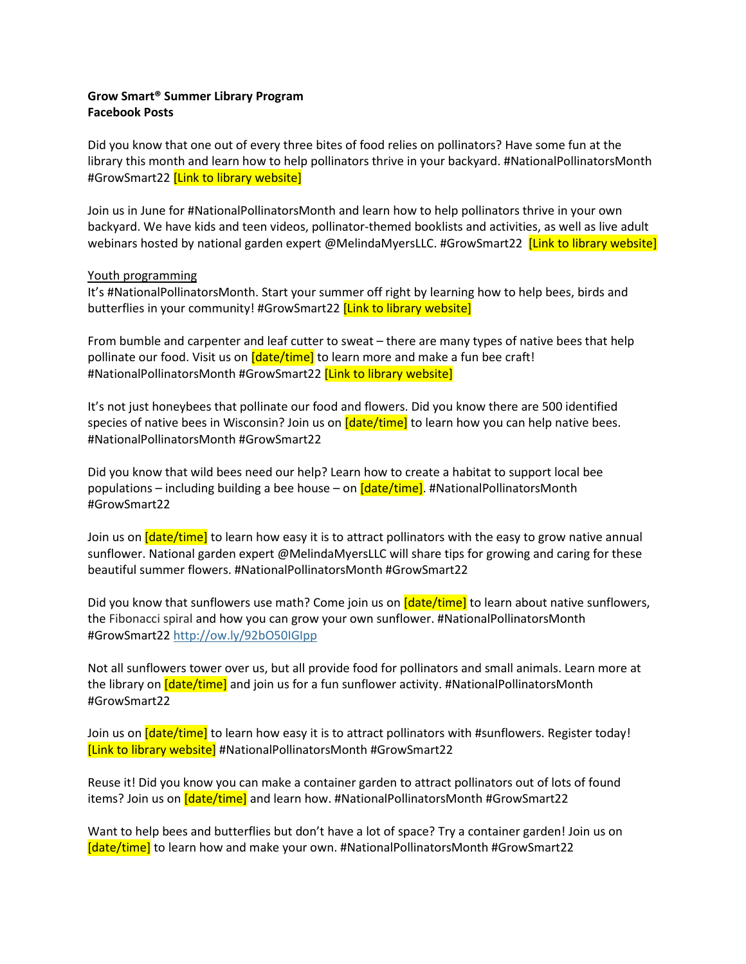## **Grow Smart® Summer Library Program Facebook Posts**

Did you know that one out of every three bites of food relies on pollinators? Have some fun at the library this month and learn how to help pollinators thrive in your backyard. #NationalPollinatorsMonth #GrowSmart22 [Link to library website]

Join us in June for #NationalPollinatorsMonth and learn how to help pollinators thrive in your own backyard. We have kids and teen videos, pollinator-themed booklists and activities, as well as live adult webinars hosted by national garden expert @MelindaMyersLLC. #GrowSmart22 [Link to library website]

## Youth programming

It's #NationalPollinatorsMonth. Start your summer off right by learning how to help bees, birds and butterflies in your community! #GrowSmart22 **[Link to library website]** 

From bumble and carpenter and leaf cutter to sweat – there are many types of native bees that help pollinate our food. Visit us on *[date/time]* to learn more and make a fun bee craft! #NationalPollinatorsMonth #GrowSmart22 [Link to library website]

It's not just honeybees that pollinate our food and flowers. Did you know there are 500 identified species of native bees in Wisconsin? Join us on *[date/time]* to learn how you can help native bees. #NationalPollinatorsMonth #GrowSmart22

Did you know that wild bees need our help? Learn how to create a habitat to support local bee populations – including building a bee house – on [date/time]. #NationalPollinatorsMonth #GrowSmart22

Join us on *[date/time]* to learn how easy it is to attract pollinators with the easy to grow native annual sunflower. National garden expert @MelindaMyersLLC will share tips for growing and caring for these beautiful summer flowers. #NationalPollinatorsMonth #GrowSmart22

Did you know that sunflowers use math? Come join us on *[date/time]* to learn about native sunflowers, the Fibonacci spiral and how you can grow your own sunflower. #NationalPollinatorsMonth #GrowSmart22<http://ow.ly/92bO50IGIpp>

Not all sunflowers tower over us, but all provide food for pollinators and small animals. Learn more at the library on *[date/time]* and join us for a fun sunflower activity. #NationalPollinatorsMonth #GrowSmart22

Join us on *[date/time]* to learn how easy it is to attract pollinators with #sunflowers. Register today! [Link to library website] #NationalPollinatorsMonth #GrowSmart22

Reuse it! Did you know you can make a container garden to attract pollinators out of lots of found items? Join us on  $\frac{Idate/time}{I}$  and learn how. #NationalPollinatorsMonth #GrowSmart22

Want to help bees and butterflies but don't have a lot of space? Try a container garden! Join us on [date/time] to learn how and make your own. #NationalPollinatorsMonth #GrowSmart22